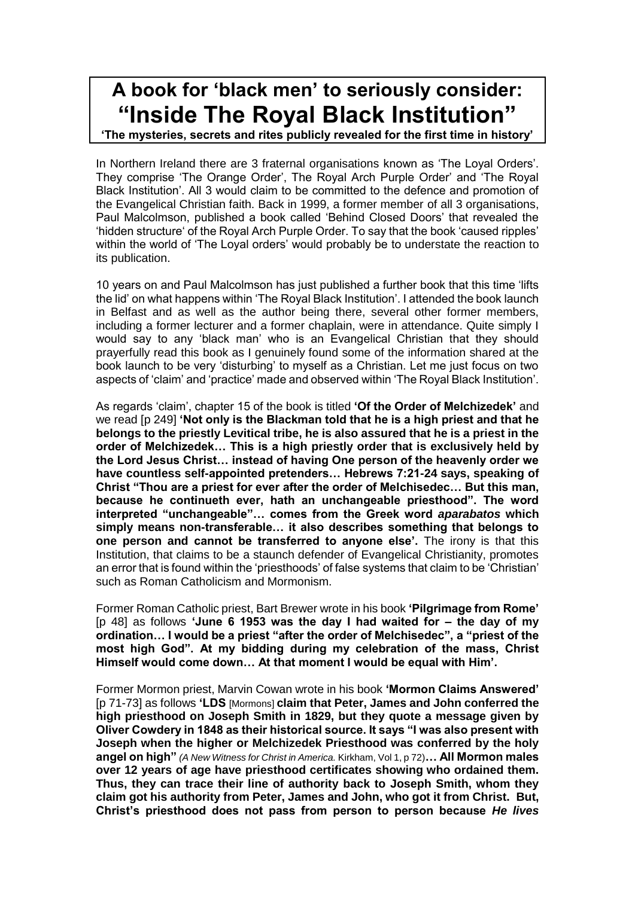## **A book for 'black men' to seriously consider: "Inside The Royal Black Institution"**

**'The mysteries, secrets and rites publicly revealed for the first time in history'**

In Northern Ireland there are 3 fraternal organisations known as 'The Loyal Orders'. They comprise 'The Orange Order', The Royal Arch Purple Order' and 'The Royal Black Institution'. All 3 would claim to be committed to the defence and promotion of the Evangelical Christian faith. Back in 1999, a former member of all 3 organisations, Paul Malcolmson, published a book called 'Behind Closed Doors' that revealed the 'hidden structure' of the Royal Arch Purple Order. To say that the book 'caused ripples' within the world of 'The Loyal orders' would probably be to understate the reaction to its publication.

10 years on and Paul Malcolmson has just published a further book that this time 'lifts the lid' on what happens within 'The Royal Black Institution'. I attended the book launch in Belfast and as well as the author being there, several other former members, including a former lecturer and a former chaplain, were in attendance. Quite simply I would say to any 'black man' who is an Evangelical Christian that they should prayerfully read this book as I genuinely found some of the information shared at the book launch to be very 'disturbing' to myself as a Christian. Let me just focus on two aspects of 'claim' and 'practice' made and observed within 'The Royal Black Institution'.

As regards 'claim', chapter 15 of the book is titled **'Of the Order of Melchizedek'** and we read [p 249] **'Not only is the Blackman told that he is a high priest and that he belongs to the priestly Levitical tribe, he is also assured that he is a priest in the order of Melchizedek… This is a high priestly order that is exclusively held by the Lord Jesus Christ… instead of having One person of the heavenly order we have countless self-appointed pretenders… Hebrews 7:21-24 says, speaking of Christ "Thou are a priest for ever after the order of Melchisedec… But this man, because he continueth ever, hath an unchangeable priesthood". The word interpreted "unchangeable"… comes from the Greek word** *aparabatos* **which simply means non-transferable… it also describes something that belongs to one person and cannot be transferred to anyone else'.** The irony is that this Institution, that claims to be a staunch defender of Evangelical Christianity, promotes an error that is found within the 'priesthoods' of false systems that claim to be 'Christian' such as Roman Catholicism and Mormonism.

Former Roman Catholic priest, Bart Brewer wrote in his book **'Pilgrimage from Rome'**  [p 48] as follows **'June 6 1953 was the day I had waited for – the day of my ordination… I would be a priest "after the order of Melchisedec", a "priest of the most high God". At my bidding during my celebration of the mass, Christ Himself would come down… At that moment I would be equal with Him'.**

Former Mormon priest, Marvin Cowan wrote in his book **'Mormon Claims Answered'**  [p 71-73] as follows **'LDS** [Mormons] **claim that Peter, James and John conferred the high priesthood on Joseph Smith in 1829, but they quote a message given by Oliver Cowdery in 1848 as their historical source. It says "I was also present with Joseph when the higher or Melchizedek Priesthood was conferred by the holy angel on high"** *(A New Witness for Christ in America.* Kirkham, Vol 1, p 72)**… All Mormon males over 12 years of age have priesthood certificates showing who ordained them. Thus, they can trace their line of authority back to Joseph Smith, whom they claim got his authority from Peter, James and John, who got it from Christ. But, Christ's priesthood does not pass from person to person because** *He lives*